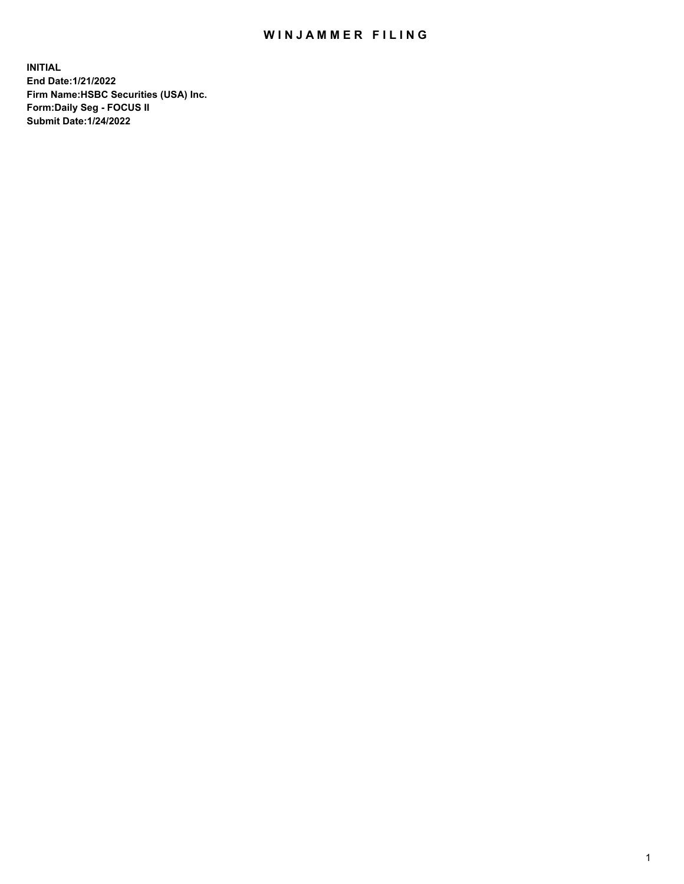## WIN JAMMER FILING

**INITIAL End Date:1/21/2022 Firm Name:HSBC Securities (USA) Inc. Form:Daily Seg - FOCUS II Submit Date:1/24/2022**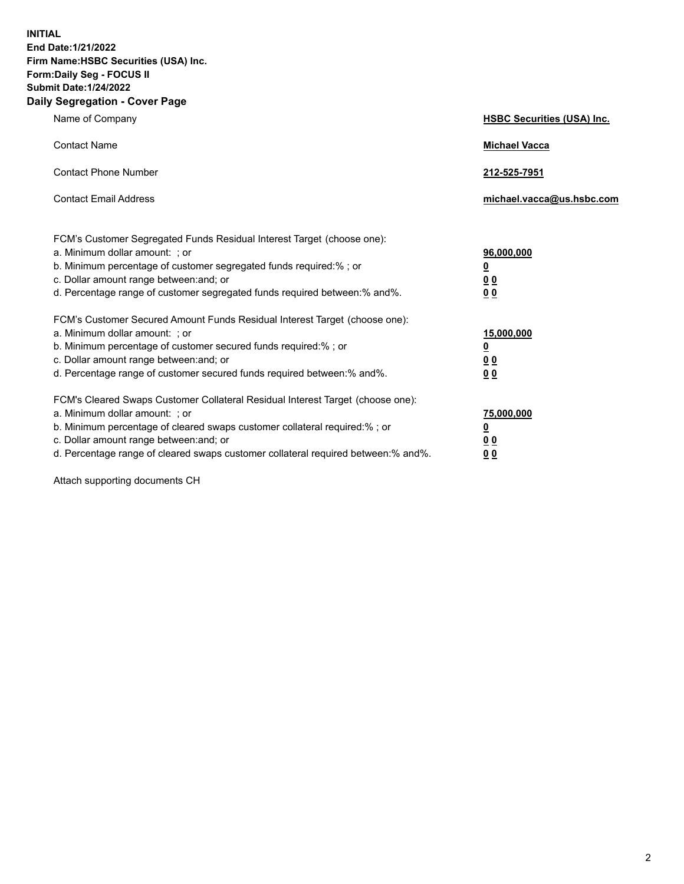**INITIAL End Date:1/21/2022 Firm Name:HSBC Securities (USA) Inc. Form:Daily Seg - FOCUS II Submit Date:1/24/2022 Daily Segregation - Cover Page**

| Name of Company                                                                                                                                                                                                                                                                                                                | <b>HSBC Securities (USA) Inc.</b>                          |
|--------------------------------------------------------------------------------------------------------------------------------------------------------------------------------------------------------------------------------------------------------------------------------------------------------------------------------|------------------------------------------------------------|
| <b>Contact Name</b>                                                                                                                                                                                                                                                                                                            | <b>Michael Vacca</b>                                       |
| <b>Contact Phone Number</b>                                                                                                                                                                                                                                                                                                    | 212-525-7951                                               |
| <b>Contact Email Address</b>                                                                                                                                                                                                                                                                                                   | michael.vacca@us.hsbc.com                                  |
| FCM's Customer Segregated Funds Residual Interest Target (choose one):<br>a. Minimum dollar amount: ; or<br>b. Minimum percentage of customer segregated funds required:% ; or<br>c. Dollar amount range between: and; or<br>d. Percentage range of customer segregated funds required between:% and%.                         | 96,000,000<br><u>0</u><br>0 <sub>0</sub><br>00             |
| FCM's Customer Secured Amount Funds Residual Interest Target (choose one):<br>a. Minimum dollar amount: ; or<br>b. Minimum percentage of customer secured funds required:%; or<br>c. Dollar amount range between: and; or<br>d. Percentage range of customer secured funds required between:% and%.                            | 15,000,000<br><u>0</u><br>0 <sub>0</sub><br>0 <sub>0</sub> |
| FCM's Cleared Swaps Customer Collateral Residual Interest Target (choose one):<br>a. Minimum dollar amount: ; or<br>b. Minimum percentage of cleared swaps customer collateral required:% ; or<br>c. Dollar amount range between: and; or<br>d. Percentage range of cleared swaps customer collateral required between:% and%. | 75,000,000<br><u>0</u><br><u>00</u><br>00                  |

Attach supporting documents CH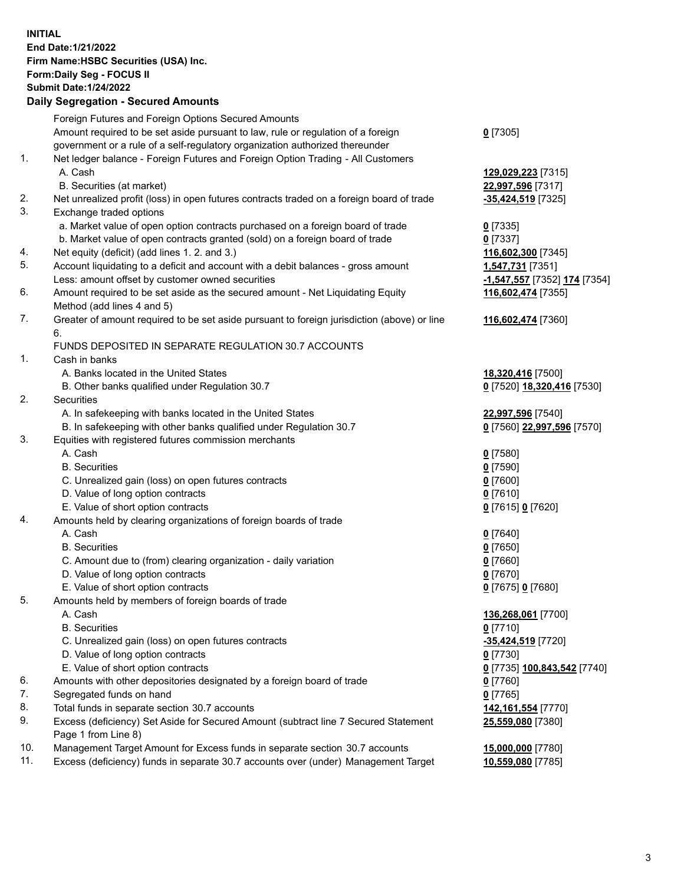**INITIAL End Date:1/21/2022 Firm Name:HSBC Securities (USA) Inc. Form:Daily Seg - FOCUS II Submit Date:1/24/2022 Daily Segregation - Secured Amounts**

|     | Foreign Futures and Foreign Options Secured Amounts                                               |                                                    |
|-----|---------------------------------------------------------------------------------------------------|----------------------------------------------------|
|     | Amount required to be set aside pursuant to law, rule or regulation of a foreign                  | $0$ [7305]                                         |
|     | government or a rule of a self-regulatory organization authorized thereunder                      |                                                    |
| 1.  | Net ledger balance - Foreign Futures and Foreign Option Trading - All Customers                   |                                                    |
|     | A. Cash                                                                                           | 129,029,223 [7315]                                 |
|     | B. Securities (at market)                                                                         | 22,997,596 [7317]                                  |
| 2.  | Net unrealized profit (loss) in open futures contracts traded on a foreign board of trade         | -35,424,519 [7325]                                 |
| 3.  | Exchange traded options                                                                           |                                                    |
|     | a. Market value of open option contracts purchased on a foreign board of trade                    | $0$ [7335]                                         |
|     | b. Market value of open contracts granted (sold) on a foreign board of trade                      | $0$ [7337]                                         |
| 4.  |                                                                                                   |                                                    |
| 5.  | Net equity (deficit) (add lines 1. 2. and 3.)                                                     | 116,602,300 [7345]                                 |
|     | Account liquidating to a deficit and account with a debit balances - gross amount                 | <b>1,547,731</b> [7351]                            |
|     | Less: amount offset by customer owned securities                                                  | <u>-1,<b>547,557</b> [</u> 7352] <u>174</u> [7354] |
| 6.  | Amount required to be set aside as the secured amount - Net Liquidating Equity                    | 116,602,474 [7355]                                 |
|     | Method (add lines 4 and 5)                                                                        |                                                    |
| 7.  | Greater of amount required to be set aside pursuant to foreign jurisdiction (above) or line<br>6. | 116,602,474 [7360]                                 |
|     | FUNDS DEPOSITED IN SEPARATE REGULATION 30.7 ACCOUNTS                                              |                                                    |
| 1.  | Cash in banks                                                                                     |                                                    |
|     | A. Banks located in the United States                                                             | 18,320,416 [7500]                                  |
|     | B. Other banks qualified under Regulation 30.7                                                    | 0 [7520] 18,320,416 [7530]                         |
| 2.  | <b>Securities</b>                                                                                 |                                                    |
|     | A. In safekeeping with banks located in the United States                                         | 22,997,596 [7540]                                  |
|     | B. In safekeeping with other banks qualified under Regulation 30.7                                | 0 [7560] 22,997,596 [7570]                         |
| 3.  | Equities with registered futures commission merchants                                             |                                                    |
|     | A. Cash                                                                                           | $0$ [7580]                                         |
|     | <b>B.</b> Securities                                                                              | $0$ [7590]                                         |
|     | C. Unrealized gain (loss) on open futures contracts                                               | $0$ [7600]                                         |
|     | D. Value of long option contracts                                                                 | $0$ [7610]                                         |
|     | E. Value of short option contracts                                                                | 0 [7615] 0 [7620]                                  |
| 4.  | Amounts held by clearing organizations of foreign boards of trade                                 |                                                    |
|     | A. Cash                                                                                           | $0$ [7640]                                         |
|     | <b>B.</b> Securities                                                                              | $0$ [7650]                                         |
|     | C. Amount due to (from) clearing organization - daily variation                                   | $0$ [7660]                                         |
|     | D. Value of long option contracts                                                                 | $0$ [7670]                                         |
|     | E. Value of short option contracts                                                                |                                                    |
| 5.  | Amounts held by members of foreign boards of trade                                                | 0 [7675] 0 [7680]                                  |
|     |                                                                                                   |                                                    |
|     | A. Cash                                                                                           | 136,268,061 [7700]                                 |
|     | <b>B.</b> Securities                                                                              | 0 [7710]                                           |
|     | C. Unrealized gain (loss) on open futures contracts                                               | -35,424,519 [7720]                                 |
|     | D. Value of long option contracts                                                                 | $0$ [7730]                                         |
|     | E. Value of short option contracts                                                                | <u>0</u> [7735] 100,843,542 [7740]                 |
| 6.  | Amounts with other depositories designated by a foreign board of trade                            | 0 [7760]                                           |
| 7.  | Segregated funds on hand                                                                          | $0$ [7765]                                         |
| 8.  | Total funds in separate section 30.7 accounts                                                     | 142,161,554 [7770]                                 |
| 9.  | Excess (deficiency) Set Aside for Secured Amount (subtract line 7 Secured Statement               | 25,559,080 [7380]                                  |
|     | Page 1 from Line 8)                                                                               |                                                    |
| 10. | Management Target Amount for Excess funds in separate section 30.7 accounts                       | 15,000,000 [7780]                                  |
| 11. | Excess (deficiency) funds in separate 30.7 accounts over (under) Management Target                | 10,559,080 [7785]                                  |
|     |                                                                                                   |                                                    |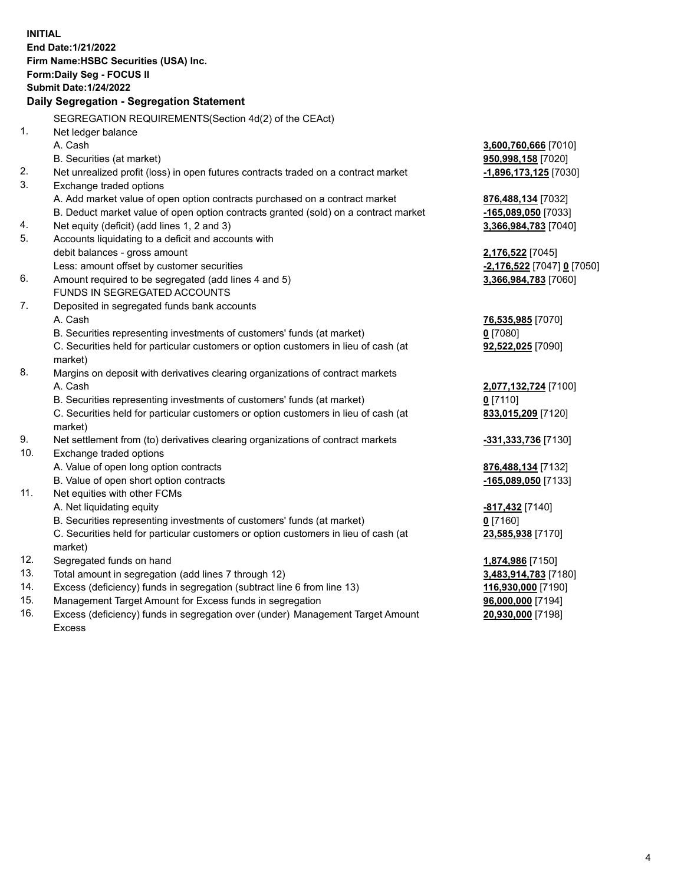**INITIAL End Date:1/21/2022 Firm Name:HSBC Securities (USA) Inc. Form:Daily Seg - FOCUS II Submit Date:1/24/2022 Daily Segregation - Segregation Statement** SEGREGATION REQUIREMENTS(Section 4d(2) of the CEAct) 1. Net ledger balance A. Cash **3,600,760,666** [7010] B. Securities (at market) **950,998,158** [7020] 2. Net unrealized profit (loss) in open futures contracts traded on a contract market **-1,896,173,125** [7030] 3. Exchange traded options A. Add market value of open option contracts purchased on a contract market **876,488,134** [7032] B. Deduct market value of open option contracts granted (sold) on a contract market **-165,089,050** [7033] 4. Net equity (deficit) (add lines 1, 2 and 3) **3,366,984,783** [7040] 5. Accounts liquidating to a deficit and accounts with debit balances - gross amount **2,176,522** [7045] Less: amount offset by customer securities **-2,176,522** [7047] **0** [7050] 6. Amount required to be segregated (add lines 4 and 5) **3,366,984,783** [7060] FUNDS IN SEGREGATED ACCOUNTS 7. Deposited in segregated funds bank accounts A. Cash **76,535,985** [7070] B. Securities representing investments of customers' funds (at market) **0** [7080] C. Securities held for particular customers or option customers in lieu of cash (at market) **92,522,025** [7090] 8. Margins on deposit with derivatives clearing organizations of contract markets A. Cash **2,077,132,724** [7100] B. Securities representing investments of customers' funds (at market) **0** [7110] C. Securities held for particular customers or option customers in lieu of cash (at market) **833,015,209** [7120] 9. Net settlement from (to) derivatives clearing organizations of contract markets **-331,333,736** [7130] 10. Exchange traded options A. Value of open long option contracts **876,488,134** [7132] B. Value of open short option contracts **-165,089,050** [7133] 11. Net equities with other FCMs A. Net liquidating equity **-817,432** [7140] B. Securities representing investments of customers' funds (at market) **0** [7160] C. Securities held for particular customers or option customers in lieu of cash (at market) **23,585,938** [7170] 12. Segregated funds on hand **1,874,986** [7150] 13. Total amount in segregation (add lines 7 through 12) **3,483,914,783** [7180] 14. Excess (deficiency) funds in segregation (subtract line 6 from line 13) **116,930,000** [7190] 15. Management Target Amount for Excess funds in segregation **96,000,000** [7194]

16. Excess (deficiency) funds in segregation over (under) Management Target Amount Excess

**20,930,000** [7198]